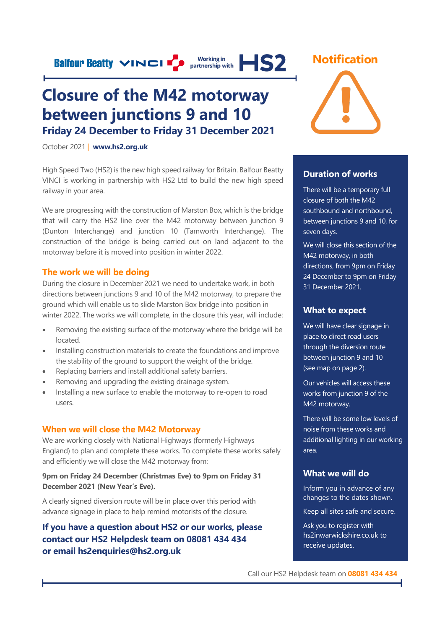**Balfour Beatty VINCI** P **Morking in HS2** 

## **Closure of the M42 motorway between junctions 9 and 10 Friday 24 December to Friday 31 December 2021**

October 2021 | **[www.hs2.org.uk](http://www.hs2.org.uk/)**

High Speed Two (HS2) is the new high speed railway for Britain. Balfour Beatty VINCI is working in partnership with HS2 Ltd to build the new high speed railway in your area.

We are progressing with the construction of Marston Box, which is the bridge that will carry the HS2 line over the M42 motorway between junction 9 (Dunton Interchange) and junction 10 (Tamworth Interchange). The construction of the bridge is being carried out on land adjacent to the motorway before it is moved into position in winter 2022.

#### **The work we will be doing**

During the closure in December 2021 we need to undertake work, in both directions between junctions 9 and 10 of the M42 motorway, to prepare the ground which will enable us to slide Marston Box bridge into position in winter 2022. The works we will complete, in the closure this year, will include:

- Removing the existing surface of the motorway where the bridge will be located.
- Installing construction materials to create the foundations and improve the stability of the ground to support the weight of the bridge.
- Replacing barriers and install additional safety barriers.
- Removing and upgrading the existing drainage system.
- Installing a new surface to enable the motorway to re-open to road users.

#### **When we will close the M42 Motorway**

We are working closely with National Highways (formerly Highways England) to plan and complete these works. To complete these works safely and efficiently we will close the M42 motorway from:

**9pm on Friday 24 December (Christmas Eve) to 9pm on Friday 31 December 2021 (New Year's Eve).** 

A clearly signed diversion route will be in place over this period with advance signage in place to help remind motorists of the closure.

#### **If you have a question about HS2 or our works, please contact our HS2 Helpdesk team on 08081 434 434 or email hs2enquiries@hs2.org.uk**



#### **Duration of works**

There will be a temporary full closure of both the M42 southbound and northbound, between junctions 9 and 10, for seven days.

We will close this section of the M42 motorway, in both directions, from 9pm on Friday 24 December to 9pm on Friday 31 December 2021.

#### **What to expect**

We will have clear signage in place to direct road users through the diversion route between junction 9 and 10 (see map on page 2).

Our vehicles will access these works from junction 9 of the M42 motorway.

There will be some low levels of noise from these works and additional lighting in our working area.

#### **What we will do**

Inform you in advance of any changes to the dates shown.

Keep all sites safe and secure.

Ask you to register with hs2inwarwickshire.co.uk to receive updates.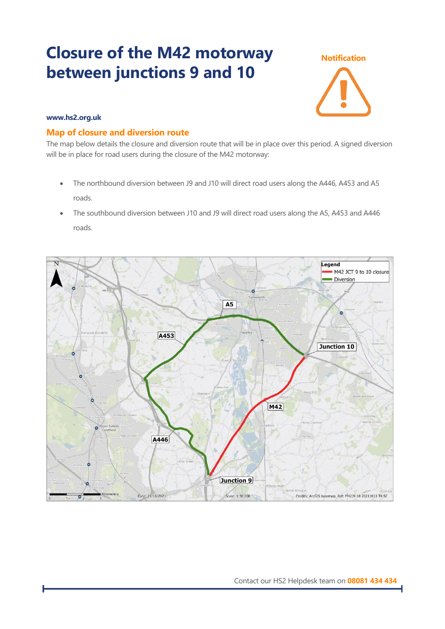## **Closure of the M42 motorway between junctions 9 and 10**



#### **www.hs2.org.uk**

#### **Map of closure and diversion route**

The map below details the closure and diversion route that will be in place over this period. A signed diversion will be in place for road users during the closure of the M42 motorway:

- The northbound diversion between J9 and J10 will direct road users along the A446, A453 and A5 roads.
- The southbound diversion between J10 and J9 will direct road users along the A5, A453 and A446 roads.

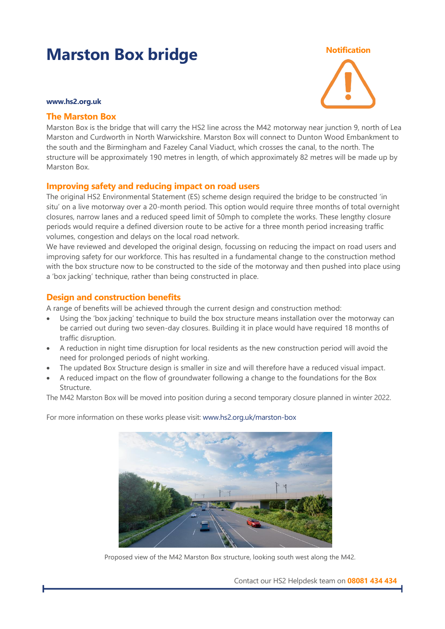## **Marston Box bridge** Motification

#### **www.hs2.org.uk**

#### **The Marston Box**

Marston Box is the bridge that will carry the HS2 line across the M42 motorway near junction 9, north of Lea Marston and Curdworth in North Warwickshire. Marston Box will connect to Dunton Wood Embankment to the south and the Birmingham and Fazeley Canal Viaduct, which crosses the canal, to the north. The structure will be approximately 190 metres in length, of which approximately 82 metres will be made up by Marston Box.

#### **Improving safety and reducing impact on road users**

The original HS2 Environmental Statement (ES) scheme design required the bridge to be constructed 'in situ' on a live motorway over a 20-month period. This option would require three months of total overnight closures, narrow lanes and a reduced speed limit of 50mph to complete the works. These lengthy closure periods would require a defined diversion route to be active for a three month period increasing traffic volumes, congestion and delays on the local road network.

We have reviewed and developed the original design, focussing on reducing the impact on road users and improving safety for our workforce. This has resulted in a fundamental change to the construction method with the box structure now to be constructed to the side of the motorway and then pushed into place using a 'box jacking' technique, rather than being constructed in place.

#### **Design and construction benefits**

A range of benefits will be achieved through the current design and construction method:

- Using the 'box jacking' technique to build the box structure means installation over the motorway can be carried out during two seven-day closures. Building it in place would have required 18 months of traffic disruption.
- A reduction in night time disruption for local residents as the new construction period will avoid the need for prolonged periods of night working.
- The updated Box Structure design is smaller in size and will therefore have a reduced visual impact.
- A reduced impact on the flow of groundwater following a change to the foundations for the Box Structure.

The M42 Marston Box will be moved into position during a second temporary closure planned in winter 2022.

For more information on these works please visit[: www.hs2.org.uk/marston-box](http://www.hs2.org.uk/marston-box)



Proposed view of the M42 Marston Box structure, looking south west along the M42.

Contact our HS2 Helpdesk team on **08081 434 434**